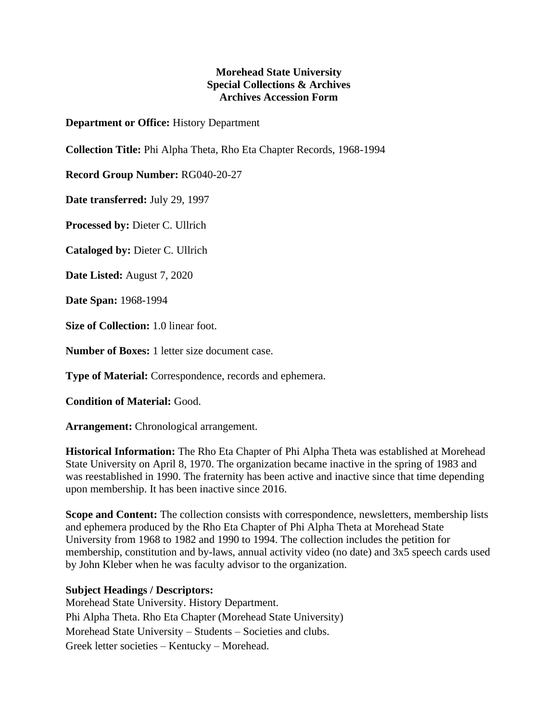## **Morehead State University Special Collections & Archives Archives Accession Form**

**Department or Office:** History Department

**Collection Title:** Phi Alpha Theta, Rho Eta Chapter Records, 1968-1994

**Record Group Number:** RG040-20-27

**Date transferred:** July 29, 1997

**Processed by:** Dieter C. Ullrich

**Cataloged by:** Dieter C. Ullrich

**Date Listed:** August 7, 2020

**Date Span:** 1968-1994

**Size of Collection:** 1.0 linear foot.

**Number of Boxes:** 1 letter size document case.

**Type of Material:** Correspondence, records and ephemera.

**Condition of Material:** Good.

**Arrangement:** Chronological arrangement.

**Historical Information:** The Rho Eta Chapter of Phi Alpha Theta was established at Morehead State University on April 8, 1970. The organization became inactive in the spring of 1983 and was reestablished in 1990. The fraternity has been active and inactive since that time depending upon membership. It has been inactive since 2016.

**Scope and Content:** The collection consists with correspondence, newsletters, membership lists and ephemera produced by the Rho Eta Chapter of Phi Alpha Theta at Morehead State University from 1968 to 1982 and 1990 to 1994. The collection includes the petition for membership, constitution and by-laws, annual activity video (no date) and 3x5 speech cards used by John Kleber when he was faculty advisor to the organization.

## **Subject Headings / Descriptors:**

Morehead State University. History Department. Phi Alpha Theta. Rho Eta Chapter (Morehead State University) Morehead State University – Students – Societies and clubs. Greek letter societies – Kentucky – Morehead.